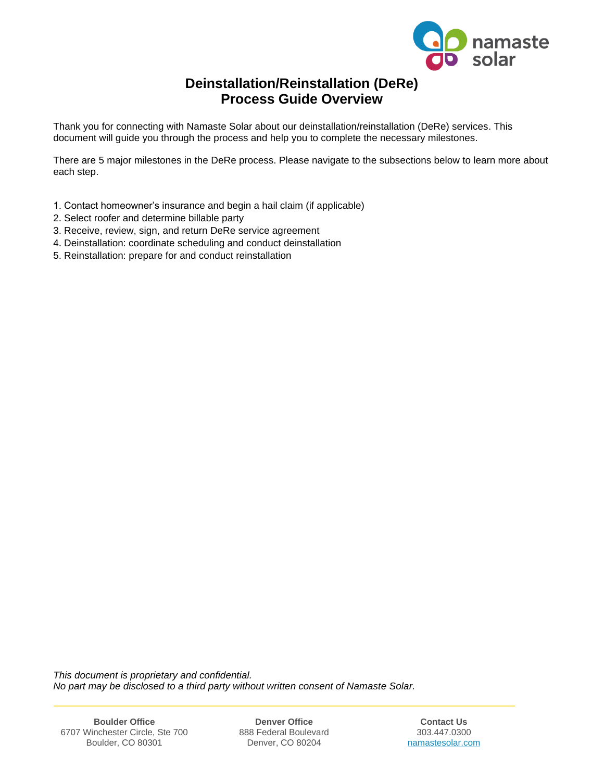

# **Deinstallation/Reinstallation (DeRe) Process Guide Overview**

Thank you for connecting with Namaste Solar about our deinstallation/reinstallation (DeRe) services. This document will guide you through the process and help you to complete the necessary milestones.

There are 5 major milestones in the DeRe process. Please navigate to the subsections below to learn more about each step.

- 1. Contact homeowner's insurance and begin a hail claim (if applicable)
- 2. Select roofer and determine billable party
- 3. Receive, review, sign, and return DeRe service agreement
- 4. Deinstallation: coordinate scheduling and conduct deinstallation
- 5. Reinstallation: prepare for and conduct reinstallation

*This document is proprietary and confidential. No part may be disclosed to a third party without written consent of Namaste Solar.*

6707 Winchester Circle, Ste 700 888 Federal Boulevard 303.447.0300 Boulder, CO 80301

**Boulder Office Denver Office Contact Us**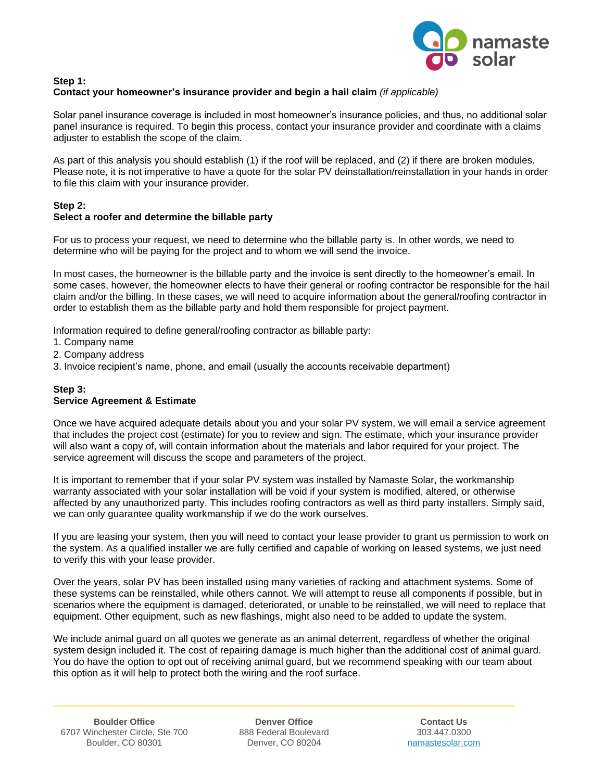

#### **Step 1: Contact your homeowner's insurance provider and begin a hail claim** *(if applicable)*

Solar panel insurance coverage is included in most homeowner's insurance policies, and thus, no additional solar panel insurance is required. To begin this process, contact your insurance provider and coordinate with a claims adjuster to establish the scope of the claim.

As part of this analysis you should establish (1) if the roof will be replaced, and (2) if there are broken modules. Please note, it is not imperative to have a quote for the solar PV deinstallation/reinstallation in your hands in order to file this claim with your insurance provider.

## **Step 2:**

## **Select a roofer and determine the billable party**

For us to process your request, we need to determine who the billable party is. In other words, we need to determine who will be paying for the project and to whom we will send the invoice.

In most cases, the homeowner is the billable party and the invoice is sent directly to the homeowner's email. In some cases, however, the homeowner elects to have their general or roofing contractor be responsible for the hail claim and/or the billing. In these cases, we will need to acquire information about the general/roofing contractor in order to establish them as the billable party and hold them responsible for project payment.

Information required to define general/roofing contractor as billable party:

- 1. Company name
- 2. Company address
- 3. Invoice recipient's name, phone, and email (usually the accounts receivable department)

#### **Step 3:**

#### **Service Agreement & Estimate**

Once we have acquired adequate details about you and your solar PV system, we will email a service agreement that includes the project cost (estimate) for you to review and sign. The estimate, which your insurance provider will also want a copy of, will contain information about the materials and labor required for your project. The service agreement will discuss the scope and parameters of the project.

It is important to remember that if your solar PV system was installed by Namaste Solar, the workmanship warranty associated with your solar installation will be void if your system is modified, altered, or otherwise affected by any unauthorized party. This includes roofing contractors as well as third party installers. Simply said, we can only guarantee quality workmanship if we do the work ourselves.

If you are leasing your system, then you will need to contact your lease provider to grant us permission to work on the system. As a qualified installer we are fully certified and capable of working on leased systems, we just need to verify this with your lease provider.

Over the years, solar PV has been installed using many varieties of racking and attachment systems. Some of these systems can be reinstalled, while others cannot. We will attempt to reuse all components if possible, but in scenarios where the equipment is damaged, deteriorated, or unable to be reinstalled, we will need to replace that equipment. Other equipment, such as new flashings, might also need to be added to update the system.

We include animal guard on all quotes we generate as an animal deterrent, regardless of whether the original system design included it. The cost of repairing damage is much higher than the additional cost of animal guard. You do have the option to opt out of receiving animal guard, but we recommend speaking with our team about this option as it will help to protect both the wiring and the roof surface.

**Boulder Office Denver Office Contact Us**